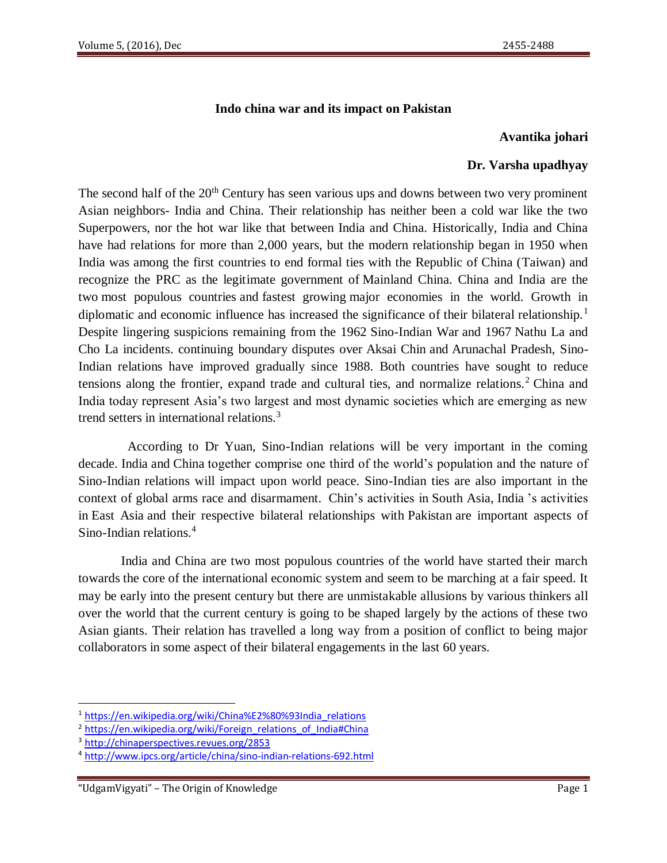#### **Indo china war and its impact on Pakistan**

#### **Avantika johari**

### **Dr. Varsha upadhyay**

The second half of the  $20<sup>th</sup>$  Century has seen various ups and downs between two very prominent Asian neighbors- India and China. Their relationship has neither been a cold war like the two Superpowers, nor the hot war like that between India and China. Historically, India and China have had relations for more than 2,000 years, but the modern relationship began in 1950 when India was among the first countries to end formal ties with the Republic of China [\(Taiwan\)](https://en.wikipedia.org/wiki/Taiwan) and recognize the PRC as the legitimate government of [Mainland China.](https://en.wikipedia.org/wiki/Mainland_China) China and India are the two [most populous countries](https://en.wikipedia.org/wiki/List_of_countries_by_population) and [fastest growing](https://en.wikipedia.org/wiki/List_of_countries_by_real_GDP_growth_rate) major economies in the world. Growth in diplomatic and economic influence has increased the significance of their bilateral relationship.<sup>1</sup> Despite lingering suspicions remaining from the 1962 [Sino-Indian War](https://en.wikipedia.org/wiki/Sino-Indian_War) and 1967 [Nathu La and](https://en.wikipedia.org/wiki/Nathu_La_and_Cho_La_incidents)  [Cho La incidents.](https://en.wikipedia.org/wiki/Nathu_La_and_Cho_La_incidents) continuing boundary disputes over [Aksai Chin](https://en.wikipedia.org/wiki/Aksai_Chin) and [Arunachal Pradesh,](https://en.wikipedia.org/wiki/Arunachal_Pradesh) Sino-Indian relations have improved gradually since 1988. Both countries have sought to reduce tensions along the frontier, expand trade and cultural ties, and normalize relations.<sup>2</sup> China and India today represent Asia's two largest and most dynamic societies which are emerging as new trend setters in international relations.<sup>3</sup>

 According to Dr Yuan, Sino-Indian relations will be very important in the coming decade. India and China together comprise one third of the world's population and the nature of Sino-Indian relations will impact upon world peace. Sino-Indian ties are also important in the context of global arms race and disarmament. Chin's activities in South Asia, India 's activities in East Asia and their respective bilateral relationships with Pakistan are important aspects of Sino-Indian relations.<sup>4</sup>

 India and China are two most populous countries of the world have started their march towards the core of the international economic system and seem to be marching at a fair speed. It may be early into the present century but there are unmistakable allusions by various thinkers all over the world that the current century is going to be shaped largely by the actions of these two Asian giants. Their relation has travelled a long way from a position of conflict to being major collaborators in some aspect of their bilateral engagements in the last 60 years.

 $\overline{a}$ 

<sup>1</sup> [https://en.wikipedia.org/wiki/China%E2%80%93India\\_relations](https://en.wikipedia.org/wiki/China%E2%80%93India_relations)

<sup>&</sup>lt;sup>2</sup> [https://en.wikipedia.org/wiki/Foreign\\_relations\\_of\\_India#China](https://en.wikipedia.org/wiki/Foreign_relations_of_India#China)

<sup>3</sup> <http://chinaperspectives.revues.org/2853>

<sup>4</sup> <http://www.ipcs.org/article/china/sino-indian-relations-692.html>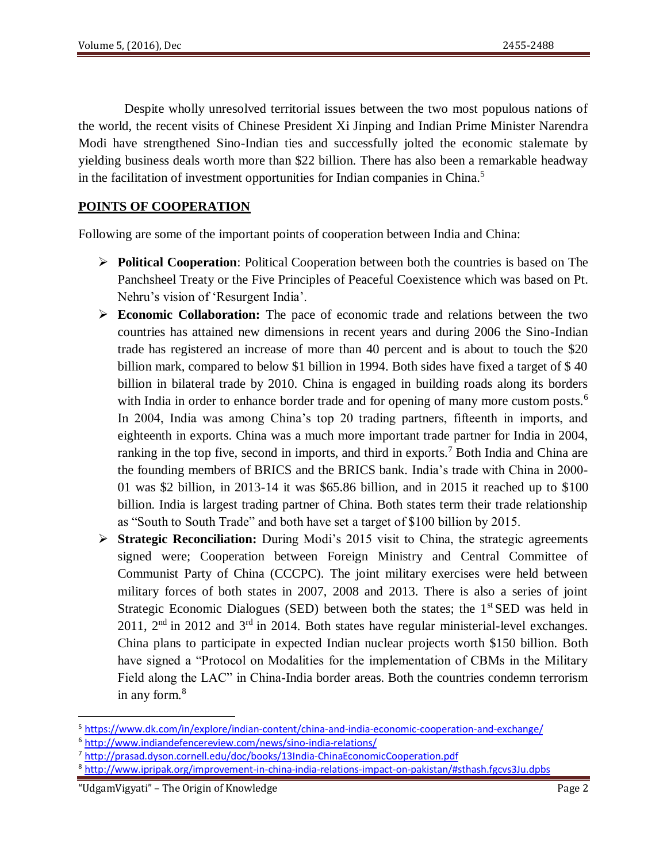Despite wholly unresolved territorial issues between the two most populous nations of the world, the recent visits of Chinese President Xi Jinping and Indian Prime Minister Narendra Modi have strengthened Sino-Indian ties and successfully jolted the economic stalemate by yielding business deals worth more than \$22 billion. There has also been a remarkable headway in the facilitation of investment opportunities for Indian companies in China.<sup>5</sup>

# **POINTS OF COOPERATION**

Following are some of the important points of cooperation between India and China:

- **Political Cooperation**: Political Cooperation between both the countries is based on The Panchsheel Treaty or the Five Principles of Peaceful Coexistence which was based on Pt. Nehru's vision of 'Resurgent India'.
- **Economic Collaboration:** The pace of economic trade and relations between the two countries has attained new dimensions in recent years and during 2006 the Sino-Indian trade has registered an increase of more than 40 percent and is about to touch the \$20 billion mark, compared to below \$1 billion in 1994. Both sides have fixed a target of \$ 40 billion in bilateral trade by 2010. China is engaged in building roads along its borders with India in order to enhance border trade and for opening of many more custom posts.<sup>6</sup> In 2004, India was among China's top 20 trading partners, fifteenth in imports, and eighteenth in exports. China was a much more important trade partner for India in 2004, ranking in the top five, second in imports, and third in exports.<sup>7</sup> Both India and China are the founding members of BRICS and the BRICS bank. India's trade with China in 2000- 01 was \$2 billion, in 2013-14 it was \$65.86 billion, and in 2015 it reached up to \$100 billion. India is largest trading partner of China. Both states term their trade relationship as "South to South Trade" and both have set a target of \$100 billion by 2015.
- **Strategic Reconciliation:** During Modi's 2015 visit to China, the strategic agreements signed were; Cooperation between Foreign Ministry and Central Committee of Communist Party of China (CCCPC). The joint military exercises were held between military forces of both states in 2007, 2008 and 2013. There is also a series of joint Strategic Economic Dialogues (SED) between both the states; the  $1<sup>st</sup>$  SED was held in 2011,  $2<sup>nd</sup>$  in 2012 and  $3<sup>rd</sup>$  in 2014. Both states have regular ministerial-level exchanges. China plans to participate in expected Indian nuclear projects worth \$150 billion. Both have signed a "Protocol on Modalities for the implementation of CBMs in the Military Field along the LAC" in China-India border areas. Both the countries condemn terrorism in any form.<sup>8</sup>

<sup>5</sup> <https://www.dk.com/in/explore/indian-content/china-and-india-economic-cooperation-and-exchange/>

<sup>6</sup> <http://www.indiandefencereview.com/news/sino-india-relations/>

<sup>&</sup>lt;sup>7</sup> <http://prasad.dyson.cornell.edu/doc/books/13India-ChinaEconomicCooperation.pdf>

<sup>8</sup> <http://www.ipripak.org/improvement-in-china-india-relations-impact-on-pakistan/#sthash.fgcvs3Ju.dpbs>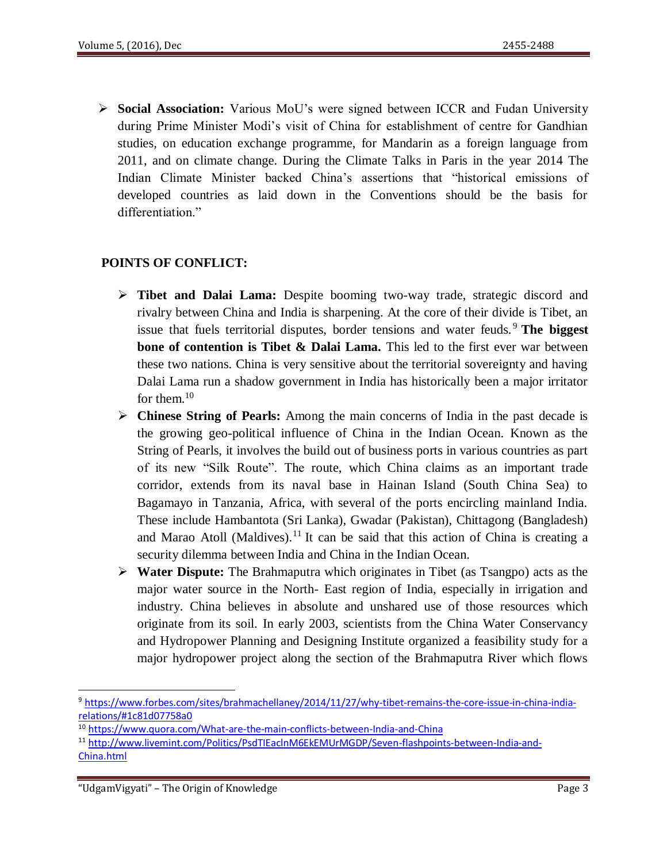**Social Association:** Various MoU's were signed between ICCR and Fudan University during Prime Minister Modi's visit of China for establishment of centre for Gandhian studies, on education exchange programme, for Mandarin as a foreign language from 2011, and on climate change. During the Climate Talks in Paris in the year 2014 The Indian Climate Minister backed China's assertions that "historical emissions of developed countries as laid down in the Conventions should be the basis for differentiation."

# **POINTS OF CONFLICT:**

- **Tibet and Dalai Lama:** Despite booming two-way trade, strategic discord and rivalry between China and India is sharpening. At the core of their divide is Tibet, an issue that fuels territorial disputes, border tensions and water feuds. <sup>9</sup> **The biggest bone of contention is Tibet & Dalai Lama.** This led to the first ever war between these two nations. China is very sensitive about the territorial sovereignty and having Dalai Lama run a shadow government in India has historically been a major irritator for them.<sup>10</sup>
- **Chinese String of Pearls:** Among the main concerns of India in the past decade is the growing geo-political influence of China in the Indian Ocean. Known as the String of Pearls, it involves the build out of business ports in various countries as part of its new "Silk Route". The route, which China claims as an important trade corridor, extends from its naval base in Hainan Island (South China Sea) to Bagamayo in Tanzania, Africa, with several of the ports encircling mainland India. These include Hambantota (Sri Lanka), Gwadar (Pakistan), Chittagong (Bangladesh) and Marao Atoll (Maldives).<sup>11</sup> It can be said that this action of China is creating a security dilemma between India and China in the Indian Ocean.
- **Water Dispute:** The Brahmaputra which originates in Tibet (as Tsangpo) acts as the major water source in the North- East region of India, especially in irrigation and industry. China believes in absolute and unshared use of those resources which originate from its soil. In early 2003, scientists from the China Water Conservancy and Hydropower Planning and Designing Institute organized a feasibility study for a major hydropower project along the section of the Brahmaputra River which flows

<sup>9</sup> [https://www.forbes.com/sites/brahmachellaney/2014/11/27/why-tibet-remains-the-core-issue-in-china-india](https://www.forbes.com/sites/brahmachellaney/2014/11/27/why-tibet-remains-the-core-issue-in-china-india-relations/#1c81d07758a0)[relations/#1c81d07758a0](https://www.forbes.com/sites/brahmachellaney/2014/11/27/why-tibet-remains-the-core-issue-in-china-india-relations/#1c81d07758a0)

<sup>10</sup> <https://www.quora.com/What-are-the-main-conflicts-between-India-and-China>

<sup>11</sup> [http://www.livemint.com/Politics/PsdTIEaclnM6EkEMUrMGDP/Seven-flashpoints-between-India-and-](http://www.livemint.com/Politics/PsdTIEaclnM6EkEMUrMGDP/Seven-flashpoints-between-India-and-China.html)[China.html](http://www.livemint.com/Politics/PsdTIEaclnM6EkEMUrMGDP/Seven-flashpoints-between-India-and-China.html)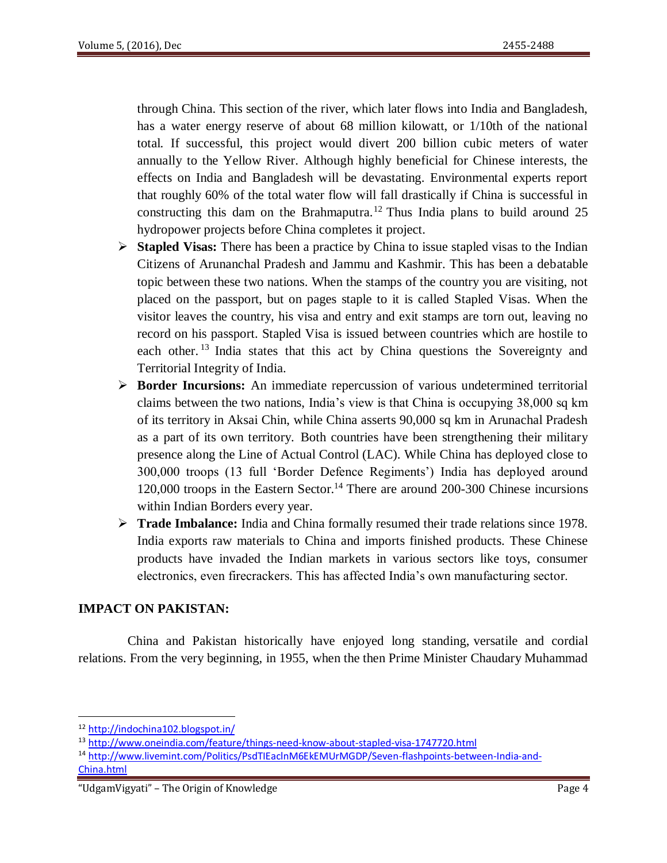through China. This section of the river, which later flows into India and Bangladesh, has a water energy reserve of about 68 million kilowatt, or 1/10th of the national total. If successful, this project would divert 200 billion cubic meters of water annually to the Yellow River. Although highly beneficial for Chinese interests, the effects on India and Bangladesh will be devastating. Environmental experts report that roughly 60% of the total water flow will fall drastically if China is successful in constructing this dam on the Brahmaputra.<sup>12</sup> Thus India plans to build around 25 hydropower projects before China completes it project.

- **Stapled Visas:** There has been a practice by China to issue stapled visas to the Indian Citizens of Arunanchal Pradesh and Jammu and Kashmir. This has been a debatable topic between these two nations. When the stamps of the country you are visiting, not placed on the passport, but on pages staple to it is called Stapled Visas. When the visitor leaves the country, his visa and entry and exit stamps are torn out, leaving no record on his passport. Stapled Visa is issued between countries which are hostile to each other.<sup>13</sup> India states that this act by China questions the Sovereignty and Territorial Integrity of India.
- **Border Incursions:** An immediate repercussion of various undetermined territorial claims between the two nations, India's view is that China is occupying 38,000 sq km of its territory in Aksai Chin, while China asserts 90,000 sq km in Arunachal Pradesh as a part of its own territory. Both countries have been strengthening their military presence along the Line of Actual Control (LAC). While China has deployed close to 300,000 troops (13 full 'Border Defence Regiments') India has deployed around 120,000 troops in the Eastern Sector.<sup>14</sup> There are around 200-300 Chinese incursions within Indian Borders every year.
- **Trade Imbalance:** India and China formally resumed their trade relations since 1978. India exports raw materials to China and imports finished products. These Chinese products have invaded the Indian markets in various sectors like toys, consumer electronics, even firecrackers. This has affected India's own manufacturing sector.

### **IMPACT ON PAKISTAN:**

 China and Pakistan historically have enjoyed long standing, versatile and cordial relations. From the very beginning, in 1955, when the then Prime Minister Chaudary Muhammad

<sup>12</sup> <http://indochina102.blogspot.in/>

<sup>13</sup> <http://www.oneindia.com/feature/things-need-know-about-stapled-visa-1747720.html>

<sup>14</sup> [http://www.livemint.com/Politics/PsdTIEaclnM6EkEMUrMGDP/Seven-flashpoints-between-India-and-](http://www.livemint.com/Politics/PsdTIEaclnM6EkEMUrMGDP/Seven-flashpoints-between-India-and-China.html)[China.html](http://www.livemint.com/Politics/PsdTIEaclnM6EkEMUrMGDP/Seven-flashpoints-between-India-and-China.html)

<sup>&</sup>quot;UdgamVigyati" – The Origin of Knowledge Page 4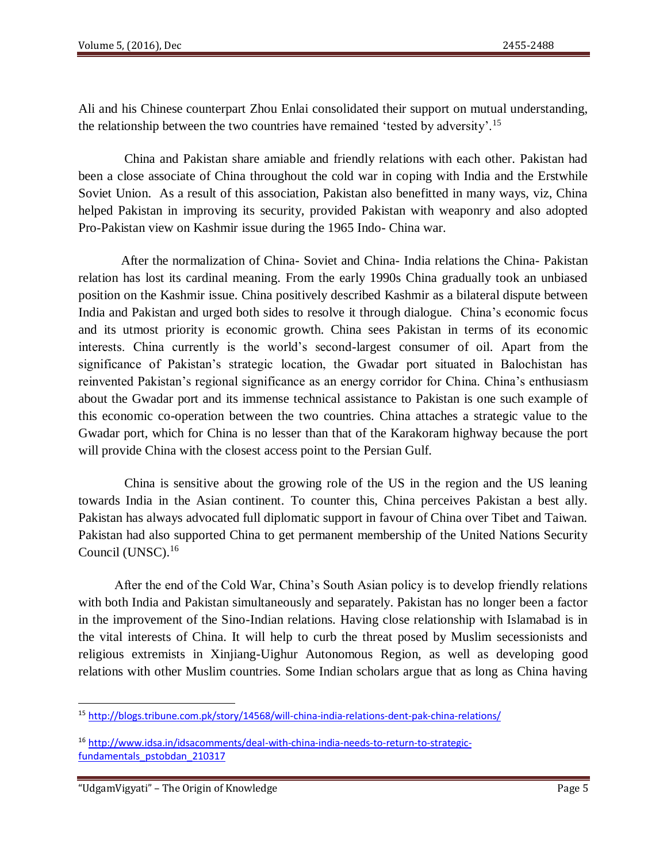Ali and his Chinese counterpart Zhou Enlai consolidated their support on mutual understanding, the relationship between the two countries have remained 'tested by adversity'.<sup>15</sup>

China and Pakistan share amiable and friendly relations with each other. Pakistan had been a close associate of China throughout the cold war in coping with India and the Erstwhile Soviet Union. As a result of this association, Pakistan also benefitted in many ways, viz, China helped Pakistan in improving its security, provided Pakistan with weaponry and also adopted Pro-Pakistan view on Kashmir issue during the 1965 Indo- China war.

 After the normalization of China- Soviet and China- India relations the China- Pakistan relation has lost its cardinal meaning. From the early 1990s China gradually took an unbiased position on the Kashmir issue. China positively described Kashmir as a bilateral dispute between India and Pakistan and urged both sides to resolve it through dialogue. China's economic focus and its utmost priority is economic growth. China sees Pakistan in terms of its economic interests. China currently is the world's second-largest consumer of oil. Apart from the significance of Pakistan's strategic location, the Gwadar port situated in Balochistan has reinvented Pakistan's regional significance as an energy corridor for China. China's enthusiasm about the Gwadar port and its immense technical assistance to Pakistan is one such example of this economic co-operation between the two countries. China attaches a strategic value to the Gwadar port, which for China is no lesser than that of the Karakoram highway because the port will provide China with the closest access point to the Persian Gulf.

 China is sensitive about the growing role of the US in the region and the US leaning towards India in the Asian continent. To counter this, China perceives Pakistan a best ally. Pakistan has always advocated full diplomatic support in favour of China over Tibet and Taiwan. Pakistan had also supported China to get permanent membership of the United Nations Security Council (UNSC).<sup>16</sup>

 After the end of the Cold War, China's South Asian policy is to develop friendly relations with both India and Pakistan simultaneously and separately. Pakistan has no longer been a factor in the improvement of the Sino-Indian relations. Having close relationship with Islamabad is in the vital interests of China. It will help to curb the threat posed by Muslim secessionists and religious extremists in Xinjiang-Uighur Autonomous Region, as well as developing good relations with other Muslim countries. Some Indian scholars argue that as long as China having

 $\overline{a}$ 

<sup>15</sup> <http://blogs.tribune.com.pk/story/14568/will-china-india-relations-dent-pak-china-relations/>

<sup>16</sup> [http://www.idsa.in/idsacomments/deal-with-china-india-needs-to-return-to-strategic](http://www.idsa.in/idsacomments/deal-with-china-india-needs-to-return-to-strategic-fundamentals_pstobdan_210317)[fundamentals\\_pstobdan\\_210317](http://www.idsa.in/idsacomments/deal-with-china-india-needs-to-return-to-strategic-fundamentals_pstobdan_210317)

<sup>&</sup>quot;UdgamVigyati" – The Origin of Knowledge Page 5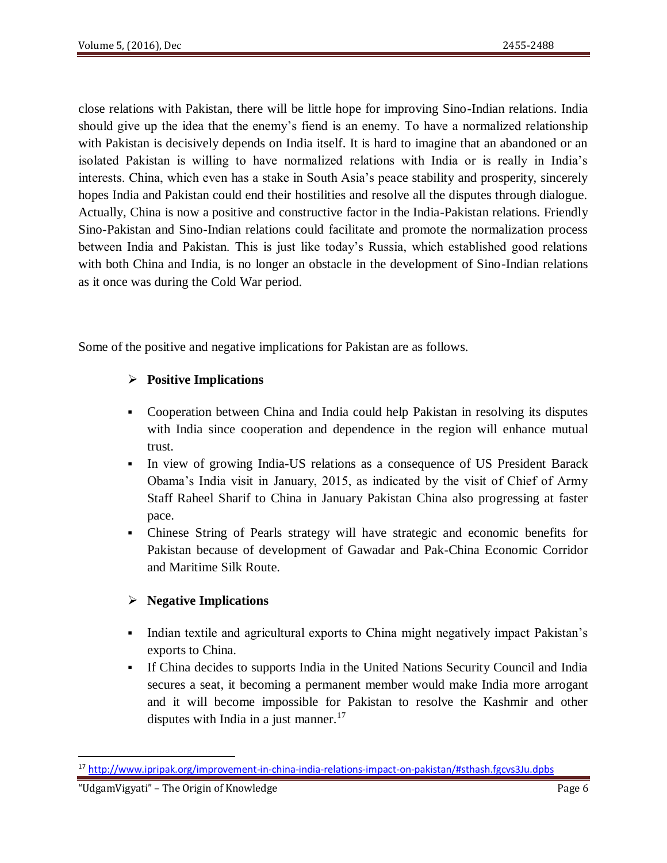close relations with Pakistan, there will be little hope for improving Sino-Indian relations. India should give up the idea that the enemy's fiend is an enemy. To have a normalized relationship with Pakistan is decisively depends on India itself. It is hard to imagine that an abandoned or an isolated Pakistan is willing to have normalized relations with India or is really in India's interests. China, which even has a stake in South Asia's peace stability and prosperity, sincerely hopes India and Pakistan could end their hostilities and resolve all the disputes through dialogue. Actually, China is now a positive and constructive factor in the India-Pakistan relations. Friendly Sino-Pakistan and Sino-Indian relations could facilitate and promote the normalization process between India and Pakistan. This is just like today's Russia, which established good relations with both China and India, is no longer an obstacle in the development of Sino-Indian relations as it once was during the Cold War period.

Some of the positive and negative implications for Pakistan are as follows.

# **Positive Implications**

- Cooperation between China and India could help Pakistan in resolving its disputes with India since cooperation and dependence in the region will enhance mutual trust.
- In view of growing India-US relations as a consequence of US President Barack Obama's India visit in January, 2015, as indicated by the visit of Chief of Army Staff Raheel Sharif to China in January Pakistan China also progressing at faster pace.
- Chinese String of Pearls strategy will have strategic and economic benefits for Pakistan because of development of Gawadar and Pak-China Economic Corridor and Maritime Silk Route.

# **Negative Implications**

- Indian textile and agricultural exports to China might negatively impact Pakistan's exports to China.
- If China decides to supports India in the United Nations Security Council and India secures a seat, it becoming a permanent member would make India more arrogant and it will become impossible for Pakistan to resolve the Kashmir and other disputes with India in a just manner.<sup>17</sup>

<sup>17</sup> <http://www.ipripak.org/improvement-in-china-india-relations-impact-on-pakistan/#sthash.fgcvs3Ju.dpbs>